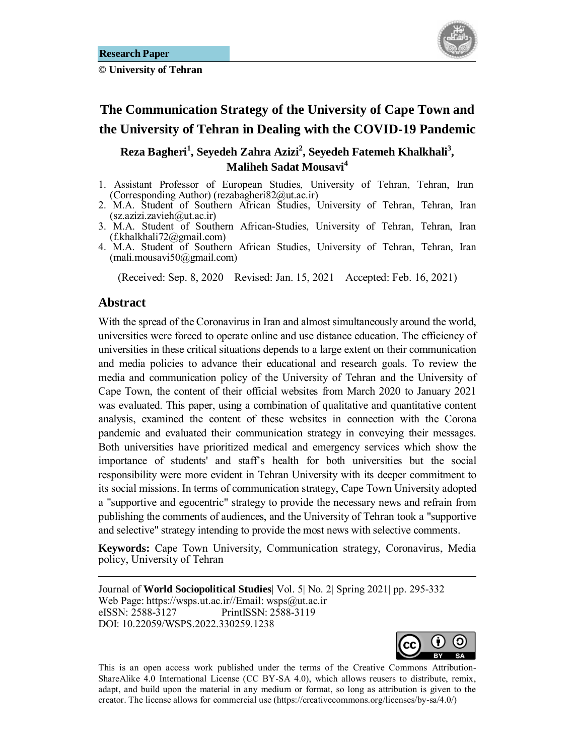

# **The Communication Strategy of the University of Cape Town and the University of Tehran in Dealing with the COVID-19 Pandemic**

#### **Reza Bagheri<sup>1</sup> , Seyedeh Zahra Azizi2 , Seyedeh Fatemeh Khalkhali<sup>3</sup> , Maliheh Sadat Mousavi<sup>4</sup>**

- 1. Assistant Professor of European Studies, University of Tehran, Tehran, Iran (Corresponding Author) (rezabagheri82@ut.ac.ir)
- 2. M.A. Student of Southern African Studies, University of Tehran, Tehran, Iran (sz.azizi.zavieh@ut.ac.ir)
- 3. M.A. Student of Southern African-Studies, University of Tehran, Tehran, Iran (f.khalkhali72@gmail.com)
- 4. M.A. Student of Southern African Studies, University of Tehran, Tehran, Iran (mali.mousavi50@gmail.com)

(Received: Sep. 8, 2020 Revised: Jan. 15, 2021 Accepted: Feb. 16, 2021)

#### Abstract

1

With the spread of the Coronavirus in Iran and almost simultaneously around the world, universities were forced to operate online and use distance education. The efficiency of universities in these critical situations depends to a large extent on their communication and media policies to advance their educational and research goals. To review the media and communication policy of the University of Tehran and the University of Cape Town, the content of their official websites from March 2020 to January 2021 was evaluated. This paper, using a combination of qualitative and quantitative content analysis, examined the content of these websites in connection with the Corona pandemic and evaluated their communication strategy in conveying their messages. Both universities have prioritized medical and emergency services which show the importance of students' and staff's health for both universities but the social responsibility were more evident in Tehran University with its deeper commitment to its social missions. In terms of communication strategy, Cape Town University adopted a "supportive and egocentric" strategy to provide the necessary news and refrain from publishing the comments of audiences, and the University of Tehran took a "supportive and selective" strategy intending to provide the most news with selective comments.

**Keywords:** Cape Town University, Communication strategy, Coronavirus, Media policy, University of Tehran

Journal of **World Sociopolitical Studies**| Vol. 5| No. 2| Spring 2021| pp. 295-332 Web Page: https://wsps.ut.ac.ir//Email: wsps@ut.ac.ir eISSN: 2588-3127 PrintISSN: 2588-3119 DOI: 10.22059/WSPS.2022.330259.1238



This is an open access work published under the terms of the Creative Commons Attribution-ShareAlike 4.0 International License (CC BY-SA 4.0), which allows reusers to distribute, remix, adapt, and build upon the material in any medium or format, so long as attribution is given to the creator. The license allows for commercial use (https://creativecommons.org/licenses/by-sa/4.0/)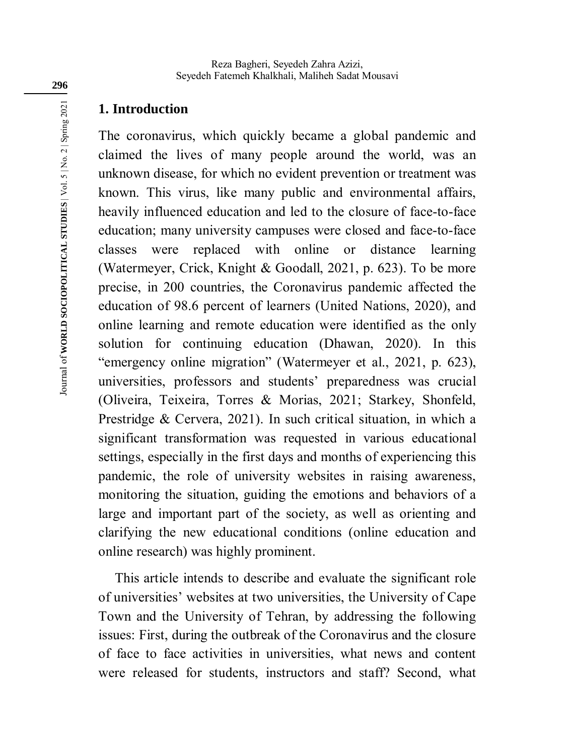# **1. Introduction**

The coronavirus, which quickly became a global pandemic and claimed the lives of many people around the world, was an unknown disease, for which no evident prevention or treatment was known. This virus, like many public and environmental affairs, heavily influenced education and led to the closure of face-to-face education; many university campuses were closed and face-to-face classes were replaced with online or distance learning (Watermeyer, Crick, Knight & Goodall, 2021, p. 623). To be more precise, in 200 countries, the Coronavirus pandemic affected the education of 98.6 percent of learners (United Nations, 2020), and online learning and remote education were identified as the only solution for continuing education (Dhawan, 2020). In this "emergency online migration" (Watermeyer et al., 2021, p. 623), universities, professors and students' preparedness was crucial (Oliveira, Teixeira, Torres & Morias, 2021; Starkey, Shonfeld, Prestridge & Cervera, 2021). In such critical situation, in which a significant transformation was requested in various educational settings, especially in the first days and months of experiencing this pandemic, the role of university websites in raising awareness, monitoring the situation, guiding the emotions and behaviors of a large and important part of the society, as well as orienting and clarifying the new educational conditions (online education and online research) was highly prominent.

This article intends to describe and evaluate the significant role of universities' websites at two universities, the University of Cape Town and the University of Tehran, by addressing the following issues: First, during the outbreak of the Coronavirus and the closure of face to face activities in universities, what news and content were released for students, instructors and staff? Second, what

**296**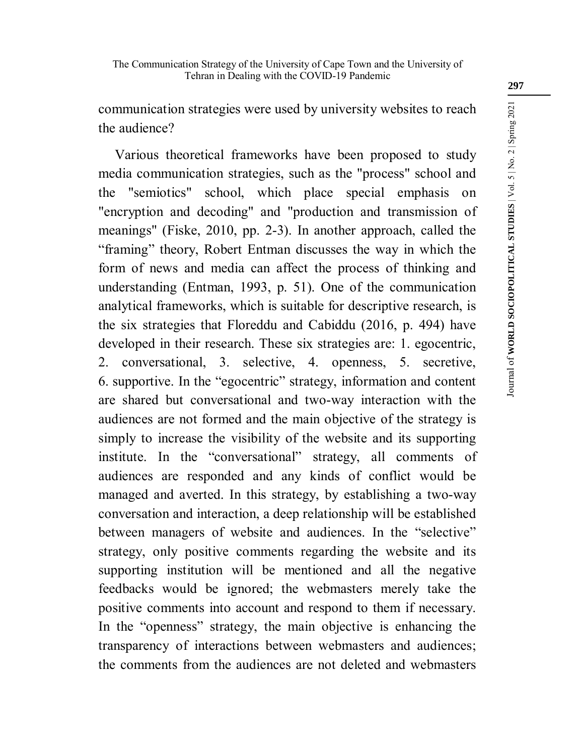communication strategies were used by university websites to reach the audience?

Various theoretical frameworks have been proposed to study media communication strategies, such as the "process" school and the "semiotics" school, which place special emphasis on "encryption and decoding" and "production and transmission of meanings" (Fiske, 2010, pp. 2-3). In another approach, called the "framing" theory, Robert Entman discusses the way in which the form of news and media can affect the process of thinking and understanding (Entman, 1993, p. 51). One of the communication analytical frameworks, which is suitable for descriptive research, is the six strategies that Floreddu and Cabiddu (2016, p. 494) have developed in their research. These six strategies are: 1. egocentric, 2. conversational, 3. selective, 4. openness, 5. secretive, 6. supportive. In the "egocentric" strategy, information and content are shared but conversational and two-way interaction with the audiences are not formed and the main objective of the strategy is simply to increase the visibility of the website and its supporting institute. In the "conversational" strategy, all comments of audiences are responded and any kinds of conflict would be managed and averted. In this strategy, by establishing a two-way conversation and interaction, a deep relationship will be established between managers of website and audiences. In the "selective" strategy, only positive comments regarding the website and its supporting institution will be mentioned and all the negative feedbacks would be ignored; the webmasters merely take the positive comments into account and respond to them if necessary. In the "openness" strategy, the main objective is enhancing the transparency of interactions between webmasters and audiences; the comments from the audiences are not deleted and webmasters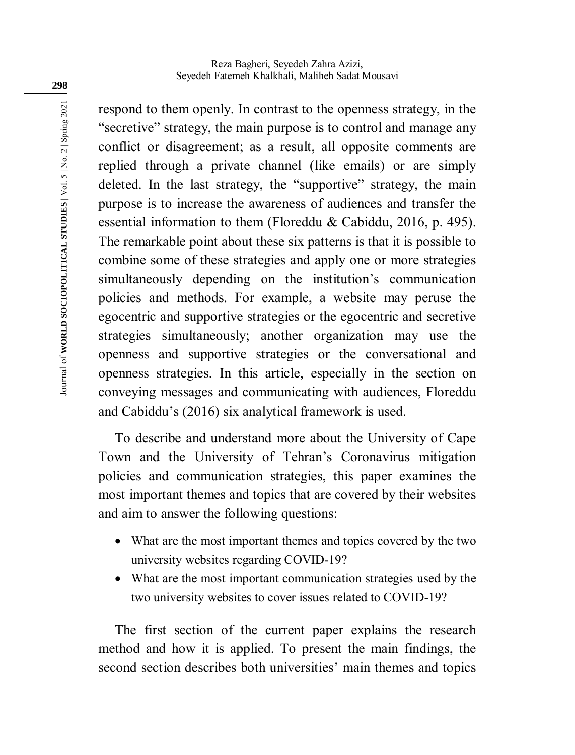Reza Bagheri, Seyedeh Zahra Azizi, Seyedeh Fatemeh Khalkhali, Maliheh Sadat Mousavi

respond to them openly. In contrast to the openness strategy, in the "secretive" strategy, the main purpose is to control and manage any conflict or disagreement; as a result, all opposite comments are replied through a private channel (like emails) or are simply deleted. In the last strategy, the "supportive" strategy, the main purpose is to increase the awareness of audiences and transfer the essential information to them (Floreddu & Cabiddu, 2016, p. 495). The remarkable point about these six patterns is that it is possible to combine some of these strategies and apply one or more strategies simultaneously depending on the institution's communication policies and methods. For example, a website may peruse the egocentric and supportive strategies or the egocentric and secretive strategies simultaneously; another organization may use the openness and supportive strategies or the conversational and openness strategies. In this article, especially in the section on conveying messages and communicating with audiences, Floreddu and Cabiddu's (2016) six analytical framework is used.

To describe and understand more about the University of Cape Town and the University of Tehran's Coronavirus mitigation policies and communication strategies, this paper examines the most important themes and topics that are covered by their websites and aim to answer the following questions:

- What are the most important themes and topics covered by the two university websites regarding COVID-19?
- What are the most important communication strategies used by the two university websites to cover issues related to COVID-19?

The first section of the current paper explains the research method and how it is applied. To present the main findings, the second section describes both universities' main themes and topics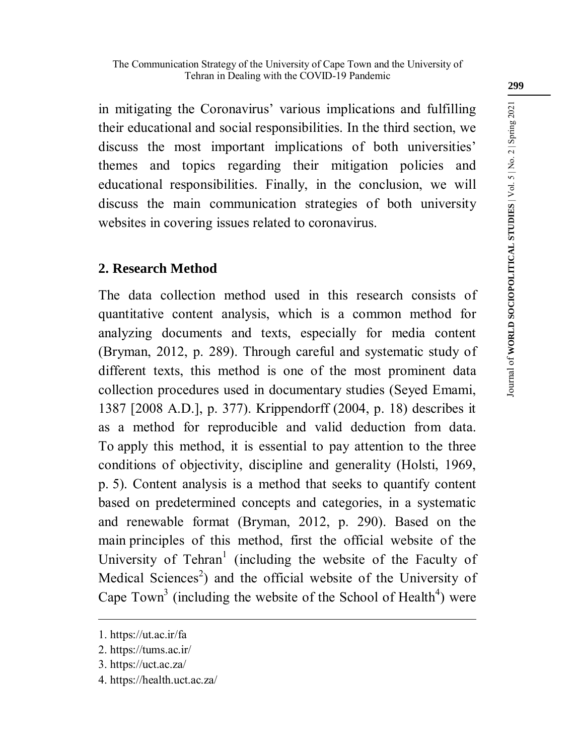in mitigating the Coronavirus' various implications and fulfilling their educational and social responsibilities. In the third section, we discuss the most important implications of both universities' themes and topics regarding their mitigation policies and educational responsibilities. Finally, in the conclusion, we will discuss the main communication strategies of both university websites in covering issues related to coronavirus.

# **2. Research Method**

The data collection method used in this research consists of quantitative content analysis, which is a common method for analyzing documents and texts, especially for media content (Bryman, 2012, p. 289). Through careful and systematic study of different texts, this method is one of the most prominent data collection procedures used in documentary studies (Seyed Emami, 1387 [2008 A.D.], p. 377). Krippendorff (2004, p. 18) describes it as a method for reproducible and valid deduction from data. To apply this method, it is essential to pay attention to the three conditions of objectivity, discipline and generality (Holsti, 1969, p. 5). Content analysis is a method that seeks to quantify content based on predetermined concepts and categories, in a systematic and renewable format (Bryman, 2012, p. 290). Based on the main principles of this method, first the official website of the University of Tehran<sup>1</sup> (including the website of the Faculty of Medical Sciences<sup>2</sup>) and the official website of the University of Cape Town<sup>3</sup> (including the website of the School of Health<sup>4</sup>) were

1

<sup>1.</sup> https://ut.ac.ir/fa

<sup>2.</sup> https://tums.ac.ir/

<sup>3.</sup> https://uct.ac.za/

<sup>4.</sup> https://health.uct.ac.za/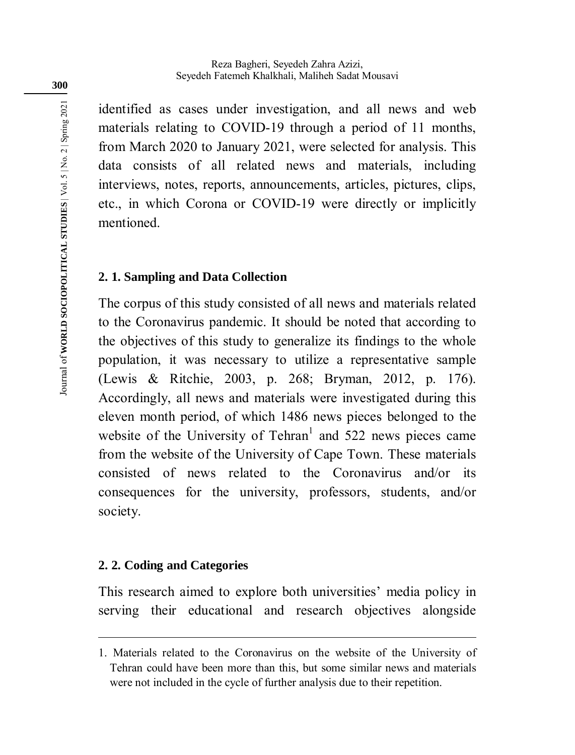identified as cases under investigation, and all news and web materials relating to COVID-19 through a period of 11 months, from March 2020 to January 2021, were selected for analysis. This data consists of all related news and materials, including interviews, notes, reports, announcements, articles, pictures, clips, etc., in which Corona or COVID-19 were directly or implicitly mentioned.

# **2. 1. Sampling and Data Collection**

The corpus of this study consisted of all news and materials related to the Coronavirus pandemic. It should be noted that according to the objectives of this study to generalize its findings to the whole population, it was necessary to utilize a representative sample (Lewis & Ritchie, 2003, p. 268; Bryman, 2012, p. 176). Accordingly, all news and materials were investigated during this eleven month period, of which 1486 news pieces belonged to the website of the University of Tehran<sup>1</sup> and 522 news pieces came from the website of the University of Cape Town. These materials consisted of news related to the Coronavirus and/or its consequences for the university, professors, students, and/or society.

### **2. 2. Coding and Categories**

1

This research aimed to explore both universities' media policy in serving their educational and research objectives alongside

<sup>1.</sup> Materials related to the Coronavirus on the website of the University of Tehran could have been more than this, but some similar news and materials were not included in the cycle of further analysis due to their repetition.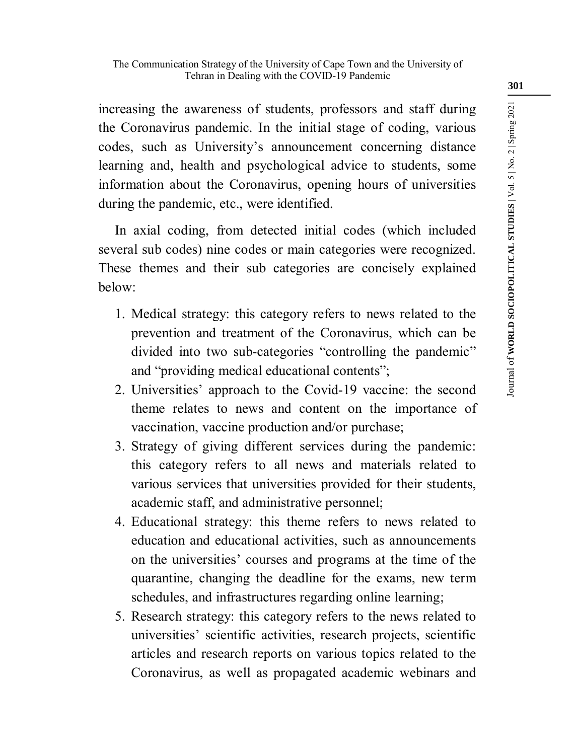increasing the awareness of students, professors and staff during the Coronavirus pandemic. In the initial stage of coding, various codes, such as University's announcement concerning distance learning and, health and psychological advice to students, some information about the Coronavirus, opening hours of universities during the pandemic, etc., were identified.

In axial coding, from detected initial codes (which included several sub codes) nine codes or main categories were recognized. These themes and their sub categories are concisely explained below:

- 1. Medical strategy: this category refers to news related to the prevention and treatment of the Coronavirus, which can be divided into two sub-categories "controlling the pandemic" and "providing medical educational contents";
- 2. Universities' approach to the Covid-19 vaccine: the second theme relates to news and content on the importance of vaccination, vaccine production and/or purchase;
- 3. Strategy of giving different services during the pandemic: this category refers to all news and materials related to various services that universities provided for their students, academic staff, and administrative personnel;
- 4. Educational strategy: this theme refers to news related to education and educational activities, such as announcements on the universities' courses and programs at the time of the quarantine, changing the deadline for the exams, new term schedules, and infrastructures regarding online learning;
- 5. Research strategy: this category refers to the news related to universities' scientific activities, research projects, scientific articles and research reports on various topics related to the Coronavirus, as well as propagated academic webinars and

Journal of **WORLD SOCIOPOLITICAL STUDIES** | Vol. 5 | No. 2 | Spring 2021

Journal of WORLD SOCIOPOLITICAL STUDIES | Vol. 5 | No. 2 | Spring 2021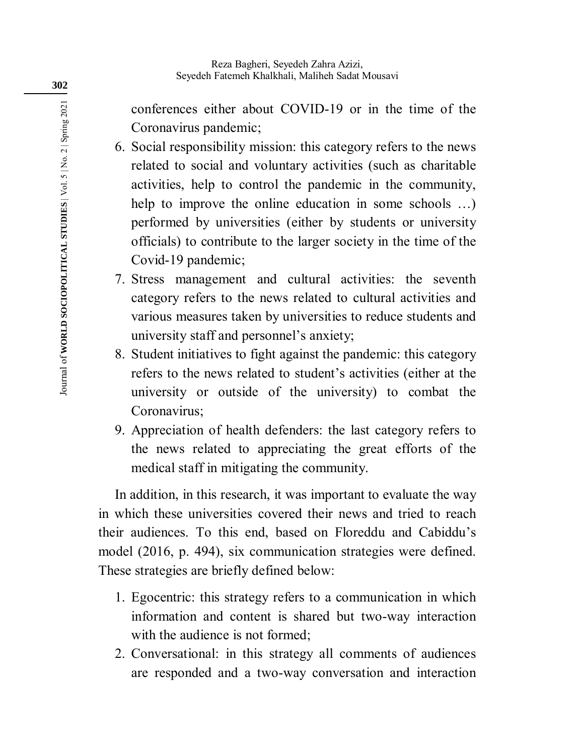conferences either about COVID-19 or in the time of the Coronavirus pandemic;

- 6. Social responsibility mission: this category refers to the news related to social and voluntary activities (such as charitable activities, help to control the pandemic in the community, help to improve the online education in some schools ...) performed by universities (either by students or university officials) to contribute to the larger society in the time of the Covid-19 pandemic;
- 7. Stress management and cultural activities: the seventh category refers to the news related to cultural activities and various measures taken by universities to reduce students and university staff and personnel's anxiety;
- 8. Student initiatives to fight against the pandemic: this category refers to the news related to student's activities (either at the university or outside of the university) to combat the Coronavirus;
- 9. Appreciation of health defenders: the last category refers to the news related to appreciating the great efforts of the medical staff in mitigating the community.

In addition, in this research, it was important to evaluate the way in which these universities covered their news and tried to reach their audiences. To this end, based on Floreddu and Cabiddu's model (2016, p. 494), six communication strategies were defined. These strategies are briefly defined below:

- 1. Egocentric: this strategy refers to a communication in which information and content is shared but two-way interaction with the audience is not formed;
- 2. Conversational: in this strategy all comments of audiences are responded and a two-way conversation and interaction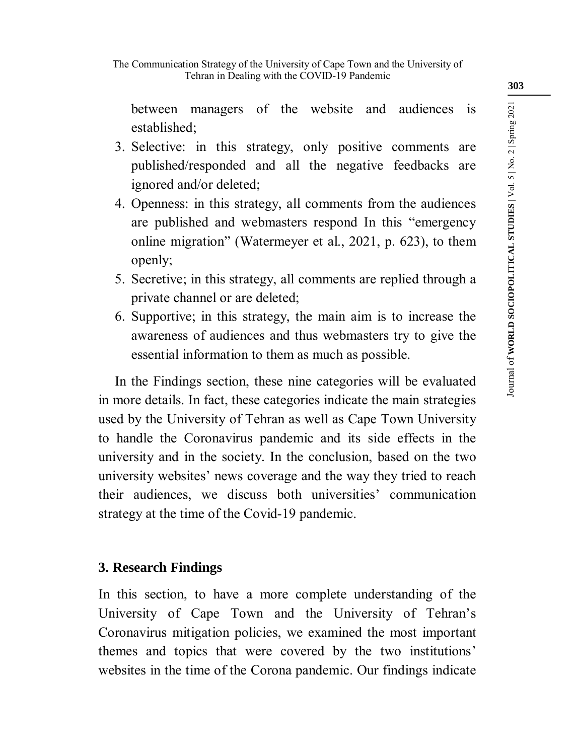between managers of the website and audiences is established;

- 3. Selective: in this strategy, only positive comments are published/responded and all the negative feedbacks are ignored and/or deleted;
- 4. Openness: in this strategy, all comments from the audiences are published and webmasters respond In this "emergency online migration" (Watermeyer et al., 2021, p. 623), to them openly;
- 5. Secretive; in this strategy, all comments are replied through a private channel or are deleted;
- 6. Supportive; in this strategy, the main aim is to increase the awareness of audiences and thus webmasters try to give the essential information to them as much as possible.

In the Findings section, these nine categories will be evaluated in more details. In fact, these categories indicate the main strategies used by the University of Tehran as well as Cape Town University to handle the Coronavirus pandemic and its side effects in the university and in the society. In the conclusion, based on the two university websites' news coverage and the way they tried to reach their audiences, we discuss both universities' communication strategy at the time of the Covid-19 pandemic.

# **3. Research Findings**

In this section, to have a more complete understanding of the University of Cape Town and the University of Tehran's Coronavirus mitigation policies, we examined the most important themes and topics that were covered by the two institutions' websites in the time of the Corona pandemic. Our findings indicate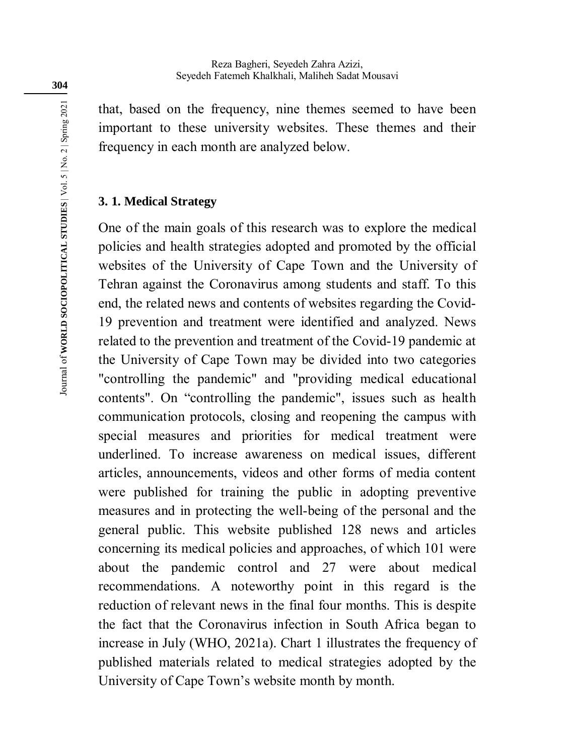that, based on the frequency, nine themes seemed to have been important to these university websites. These themes and their frequency in each month are analyzed below.

#### **3. 1. Medical Strategy**

One of the main goals of this research was to explore the medical policies and health strategies adopted and promoted by the official websites of the University of Cape Town and the University of Tehran against the Coronavirus among students and staff. To this end, the related news and contents of websites regarding the Covid-19 prevention and treatment were identified and analyzed. News related to the prevention and treatment of the Covid-19 pandemic at the University of Cape Town may be divided into two categories "controlling the pandemic" and "providing medical educational contents". On "controlling the pandemic", issues such as health communication protocols, closing and reopening the campus with special measures and priorities for medical treatment were underlined. To increase awareness on medical issues, different articles, announcements, videos and other forms of media content were published for training the public in adopting preventive measures and in protecting the well-being of the personal and the general public. This website published 128 news and articles concerning its medical policies and approaches, of which 101 were about the pandemic control and 27 were about medical recommendations. A noteworthy point in this regard is the reduction of relevant news in the final four months. This is despite the fact that the Coronavirus infection in South Africa began to increase in July (WHO, 2021a). Chart 1 illustrates the frequency of published materials related to medical strategies adopted by the University of Cape Town's website month by month.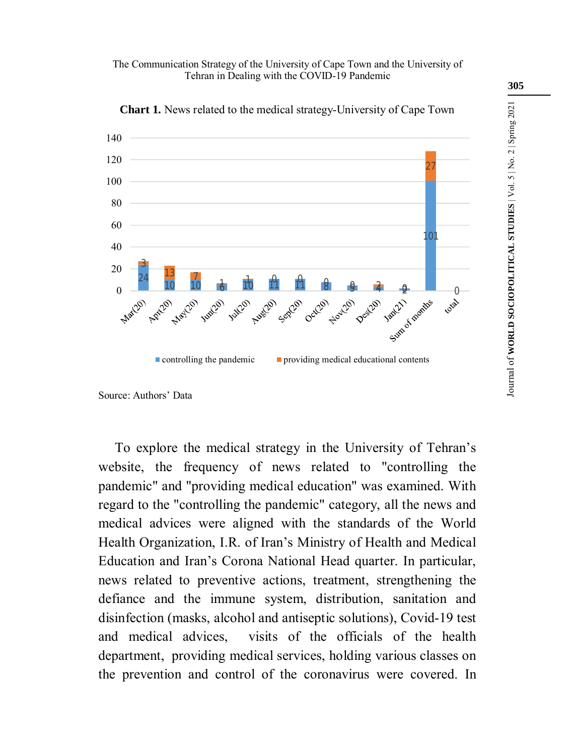The Communication Strategy of the University of Cape Town and the University of Tehran in Dealing with the COVID-19 Pandemic



**Chart 1.** News related to the medical strategy-University of Cape Town

To explore the medical strategy in the University of Tehran's website, the frequency of news related to "controlling the pandemic" and "providing medical education" was examined. With regard to the "controlling the pandemic" category, all the news and medical advices were aligned with the standards of the World Health Organization, I.R. of Iran's Ministry of Health and Medical Education and Iran's Corona National Head quarter. In particular, news related to preventive actions, treatment, strengthening the defiance and the immune system, distribution, sanitation and disinfection (masks, alcohol and antiseptic solutions), Covid-19 test and medical advices, visits of the officials of the health department, providing medical services, holding various classes on the prevention and control of the coronavirus were covered. In Journal of **WORLD SOCIOPOLITICAL STUDIES** | Vol. 5 | No. 2 | Spring 2021

Journal of WORLD SOCIOPOLITICAL STUDIES | Vol. 5 | No. 2 | Spring 2021

Source: Authors' Data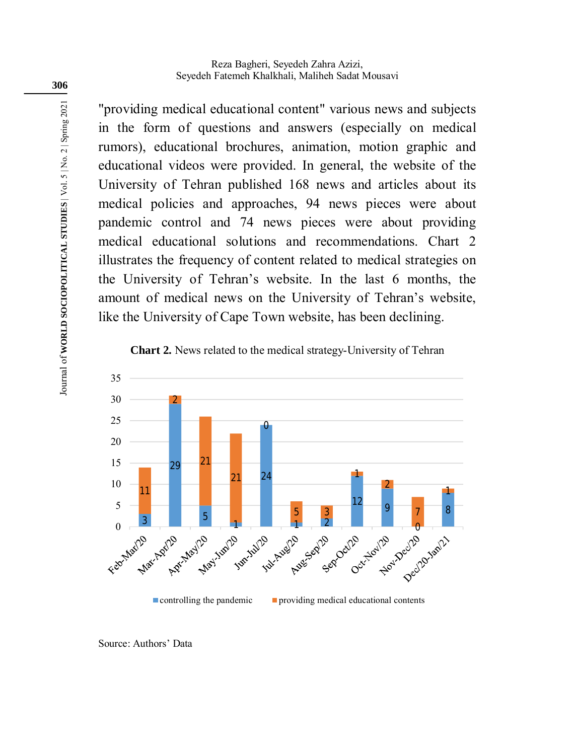"providing medical educational content" various news and subjects in the form of questions and answers (especially on medical rumors), educational brochures, animation, motion graphic and educational videos were provided. In general, the website of the University of Tehran published 168 news and articles about its medical policies and approaches, 94 news pieces were about pandemic control and 74 news pieces were about providing medical educational solutions and recommendations. Chart 2 illustrates the frequency of content related to medical strategies on the University of Tehran's website. In the last 6 months, the amount of medical news on the University of Tehran's website, like the University of Cape Town website, has been declining.





Source: Authors' Data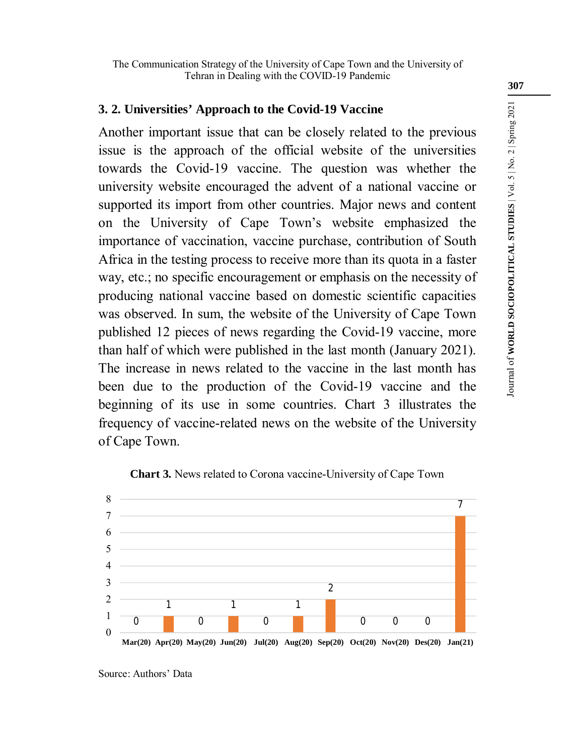# **3. 2. Universities' Approach to the Covid-19 Vaccine**

Another important issue that can be closely related to the previous issue is the approach of the official website of the universities towards the Covid-19 vaccine. The question was whether the university website encouraged the advent of a national vaccine or supported its import from other countries. Major news and content on the University of Cape Town's website emphasized the importance of vaccination, vaccine purchase, contribution of South Africa in the testing process to receive more than its quota in a faster way, etc.; no specific encouragement or emphasis on the necessity of producing national vaccine based on domestic scientific capacities was observed. In sum, the website of the University of Cape Town published 12 pieces of news regarding the Covid-19 vaccine, more than half of which were published in the last month (January 2021). The increase in news related to the vaccine in the last month has been due to the production of the Covid-19 vaccine and the beginning of its use in some countries. Chart 3 illustrates the frequency of vaccine-related news on the website of the University of Cape Town.



**Chart 3.** News related to Corona vaccine-University of Cape Town

Source: Authors' Data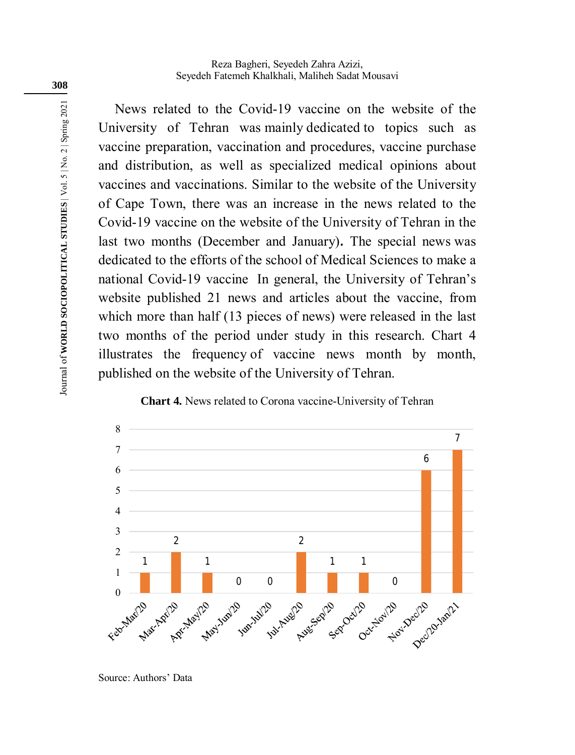News related to the Covid-19 vaccine on the website of the University of Tehran was mainly dedicated to topics such as vaccine preparation, vaccination and procedures, vaccine purchase and distribution, as well as specialized medical opinions about vaccines and vaccinations. Similar to the website of the University of Cape Town, there was an increase in the news related to the Covid-19 vaccine on the website of the University of Tehran in the last two months (December and January)**.** The special news was dedicated to the efforts of the school of Medical Sciences to make a national Covid-19 vaccine In general, the University of Tehran's website published 21 news and articles about the vaccine, from which more than half (13 pieces of news) were released in the last two months of the period under study in this research. Chart 4 illustrates the frequency of vaccine news month by month, published on the website of the University of Tehran.





Source: Authors' Data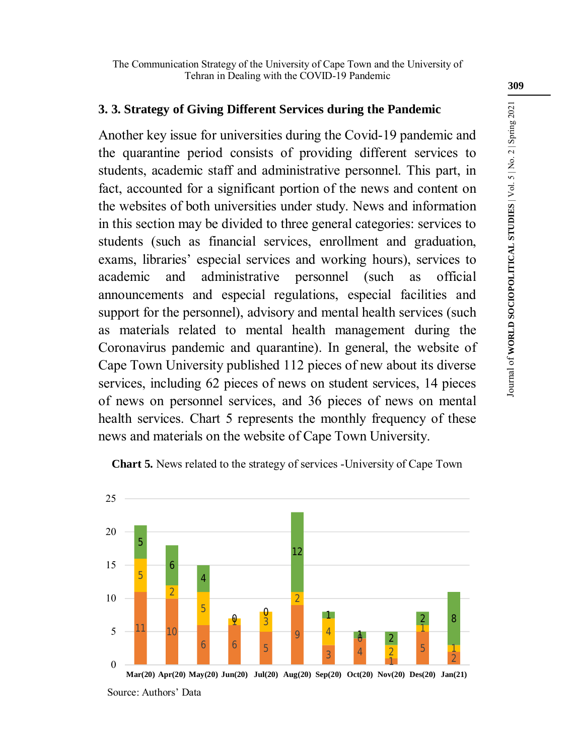## **3. 3. Strategy of Giving Different Services during the Pandemic**

Another key issue for universities during the Covid-19 pandemic and the quarantine period consists of providing different services to students, academic staff and administrative personnel. This part, in fact, accounted for a significant portion of the news and content on the websites of both universities under study. News and information in this section may be divided to three general categories: services to students (such as financial services, enrollment and graduation, exams, libraries' especial services and working hours), services to academic and administrative personnel (such as official announcements and especial regulations, especial facilities and support for the personnel), advisory and mental health services (such as materials related to mental health management during the Coronavirus pandemic and quarantine). In general, the website of Cape Town University published 112 pieces of new about its diverse services, including 62 pieces of news on student services, 14 pieces of news on personnel services, and 36 pieces of news on mental health services. Chart 5 represents the monthly frequency of these news and materials on the website of Cape Town University.



**Chart 5.** News related to the strategy of services -University of Cape Town

Source: Authors' Data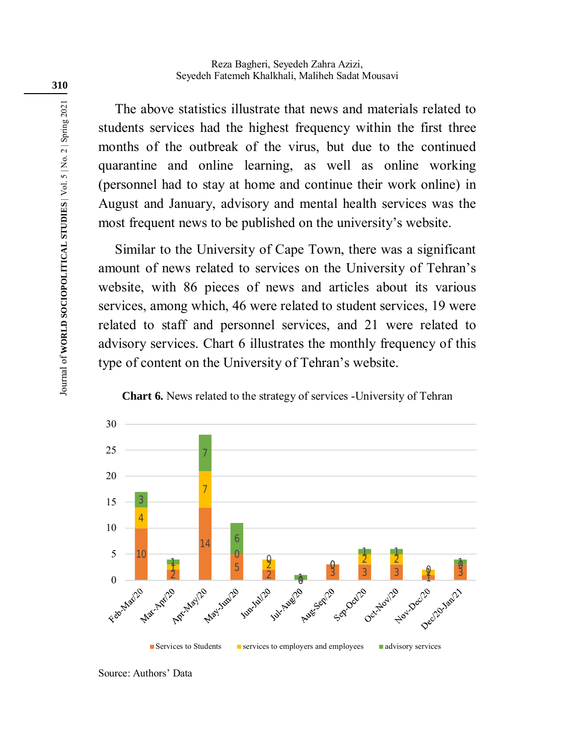The above statistics illustrate that news and materials related to students services had the highest frequency within the first three months of the outbreak of the virus, but due to the continued quarantine and online learning, as well as online working (personnel had to stay at home and continue their work online) in August and January, advisory and mental health services was the most frequent news to be published on the university's website.

Similar to the University of Cape Town, there was a significant amount of news related to services on the University of Tehran's website, with 86 pieces of news and articles about its various services, among which, 46 were related to student services, 19 were related to staff and personnel services, and 21 were related to advisory services. Chart 6 illustrates the monthly frequency of this type of content on the University of Tehran's website.





Source: Authors' Data

Journal of **WORLD SOCIOPOLITICAL STUDIES** | Vol. 5 | No. 2 | Spring 2021

Journal of WORLD SOCIOPOLITICAL STUDIES | Vol. 5 | No. 2 | Spring 2021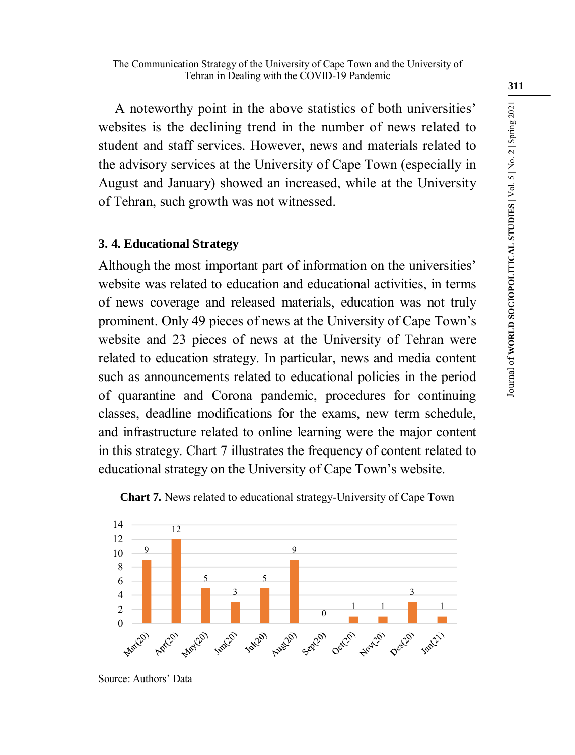#### The Communication Strategy of the University of Cape Town and the University of Tehran in Dealing with the COVID-19 Pandemic

A noteworthy point in the above statistics of both universities' websites is the declining trend in the number of news related to student and staff services. However, news and materials related to the advisory services at the University of Cape Town (especially in August and January) showed an increased, while at the University of Tehran, such growth was not witnessed.

#### **3. 4. Educational Strategy**

Although the most important part of information on the universities' website was related to education and educational activities, in terms of news coverage and released materials, education was not truly prominent. Only 49 pieces of news at the University of Cape Town's website and 23 pieces of news at the University of Tehran were related to education strategy. In particular, news and media content such as announcements related to educational policies in the period of quarantine and Corona pandemic, procedures for continuing classes, deadline modifications for the exams, new term schedule, and infrastructure related to online learning were the major content in this strategy. Chart 7 illustrates the frequency of content related to educational strategy on the University of Cape Town's website.





Source: Authors' Data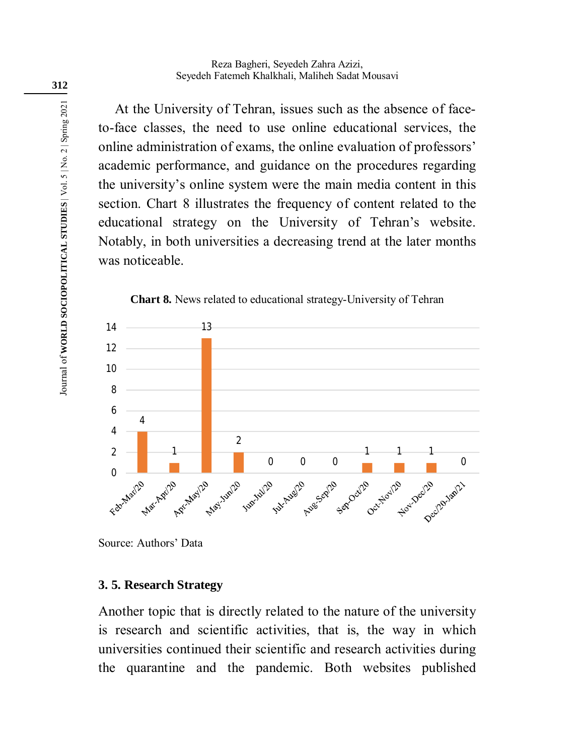At the University of Tehran, issues such as the absence of faceto-face classes, the need to use online educational services, the online administration of exams, the online evaluation of professors' academic performance, and guidance on the procedures regarding the university's online system were the main media content in this section. Chart 8 illustrates the frequency of content related to the educational strategy on the University of Tehran's website. Notably, in both universities a decreasing trend at the later months was noticeable.



**Chart 8.** News related to educational strategy-University of Tehran

Source: Authors' Data

### **3. 5. Research Strategy**

Another topic that is directly related to the nature of the university is research and scientific activities, that is, the way in which universities continued their scientific and research activities during the quarantine and the pandemic. Both websites published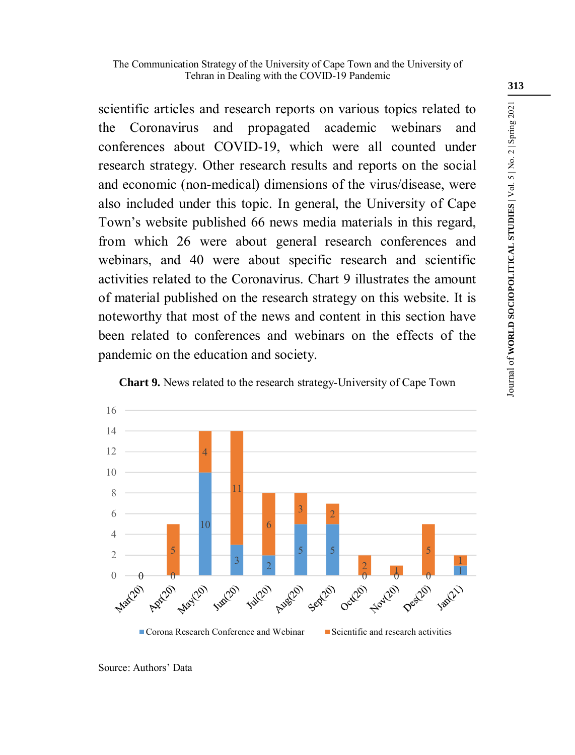scientific articles and research reports on various topics related to the Coronavirus and propagated academic webinars and conferences about COVID-19, which were all counted under research strategy. Other research results and reports on the social and economic (non-medical) dimensions of the virus/disease, were also included under this topic. In general, the University of Cape Town's website published 66 news media materials in this regard, from which 26 were about general research conferences and webinars, and 40 were about specific research and scientific activities related to the Coronavirus. Chart 9 illustrates the amount of material published on the research strategy on this website. It is noteworthy that most of the news and content in this section have been related to conferences and webinars on the effects of the pandemic on the education and society.



**Chart 9.** News related to the research strategy-University of Cape Town

Journal of **WORLD SOCIOPOLITICAL STUDIES** | Vol. 5 | No. 2 | Spring 2021

Journal of WORLD SOCIOPOLITICAL STUDIES | Vol. 5 | No. 2 | Spring 2021

Source: Authors' Data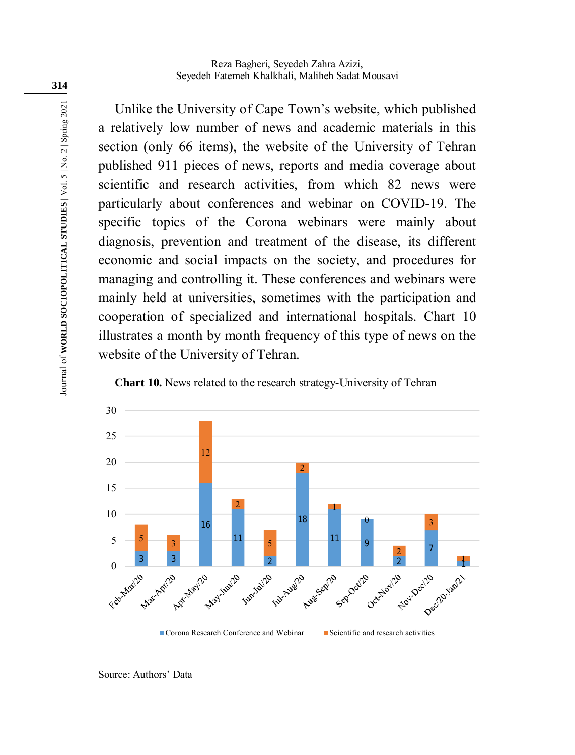Reza Bagheri, Seyedeh Zahra Azizi, Seyedeh Fatemeh Khalkhali, Maliheh Sadat Mousavi

Unlike the University of Cape Town's website, which published a relatively low number of news and academic materials in this section (only 66 items), the website of the University of Tehran published 911 pieces of news, reports and media coverage about scientific and research activities, from which 82 news were particularly about conferences and webinar on COVID-19. The specific topics of the Corona webinars were mainly about diagnosis, prevention and treatment of the disease, its different economic and social impacts on the society, and procedures for managing and controlling it. These conferences and webinars were mainly held at universities, sometimes with the participation and cooperation of specialized and international hospitals. Chart 10 illustrates a month by month frequency of this type of news on the website of the University of Tehran.

**Chart 10.** News related to the research strategy-University of Tehran



Source: Authors' Data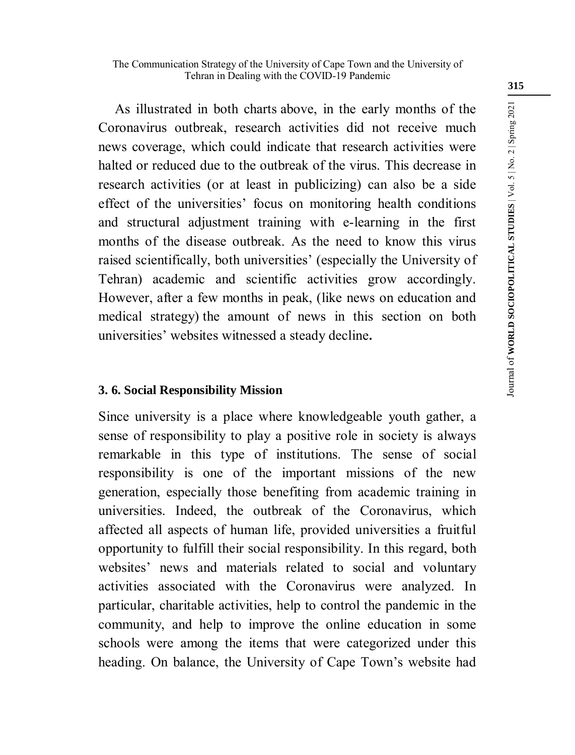As illustrated in both charts above, in the early months of the Coronavirus outbreak, research activities did not receive much news coverage, which could indicate that research activities were halted or reduced due to the outbreak of the virus. This decrease in research activities (or at least in publicizing) can also be a side effect of the universities' focus on monitoring health conditions and structural adjustment training with e-learning in the first months of the disease outbreak. As the need to know this virus raised scientifically, both universities' (especially the University of Tehran) academic and scientific activities grow accordingly. However, after a few months in peak, (like news on education and medical strategy) the amount of news in this section on both universities' websites witnessed a steady decline**.**

# **3. 6. Social Responsibility Mission**

Since university is a place where knowledgeable youth gather, a sense of responsibility to play a positive role in society is always remarkable in this type of institutions. The sense of social responsibility is one of the important missions of the new generation, especially those benefiting from academic training in universities. Indeed, the outbreak of the Coronavirus, which affected all aspects of human life, provided universities a fruitful opportunity to fulfill their social responsibility. In this regard, both websites' news and materials related to social and voluntary activities associated with the Coronavirus were analyzed. In particular, charitable activities, help to control the pandemic in the community, and help to improve the online education in some schools were among the items that were categorized under this heading. On balance, the University of Cape Town's website had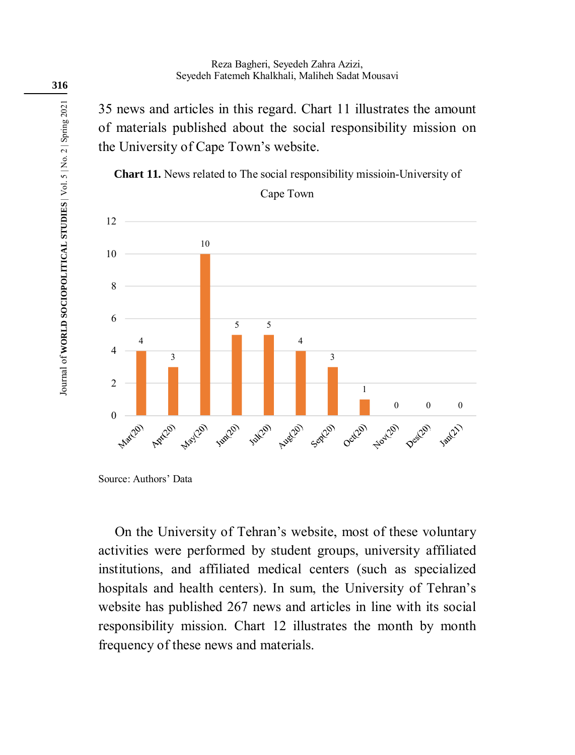35 news and articles in this regard. Chart 11 illustrates the amount of materials published about the social responsibility mission on the University of Cape Town's website.

**Chart 11.** News related to The social responsibility missioin-University of Cape Town



Source: Authors' Data

On the University of Tehran's website, most of these voluntary activities were performed by student groups, university affiliated institutions, and affiliated medical centers (such as specialized hospitals and health centers). In sum, the University of Tehran's website has published 267 news and articles in line with its social responsibility mission. Chart 12 illustrates the month by month frequency of these news and materials.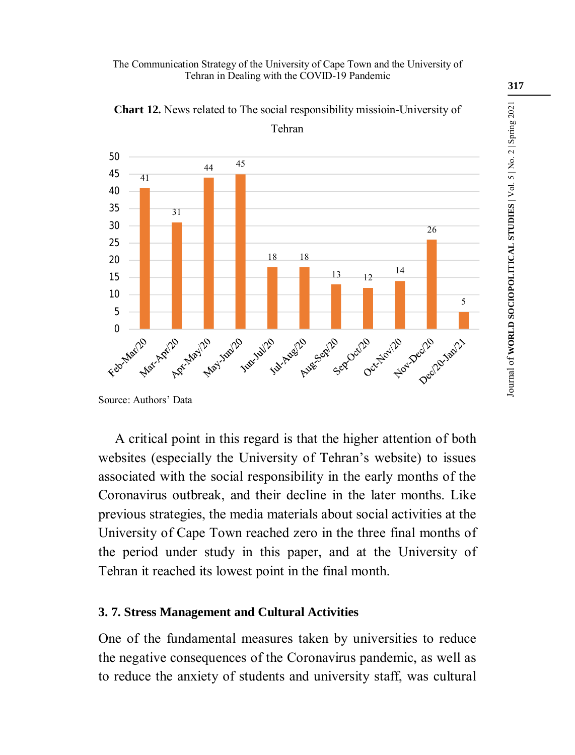#### The Communication Strategy of the University of Cape Town and the University of Tehran in Dealing with the COVID-19 Pandemic



**Chart 12.** News related to The social responsibility missioin-University of Tehran

A critical point in this regard is that the higher attention of both websites (especially the University of Tehran's website) to issues associated with the social responsibility in the early months of the Coronavirus outbreak, and their decline in the later months. Like previous strategies, the media materials about social activities at the University of Cape Town reached zero in the three final months of the period under study in this paper, and at the University of Tehran it reached its lowest point in the final month.

# **3. 7. Stress Management and Cultural Activities**

One of the fundamental measures taken by universities to reduce the negative consequences of the Coronavirus pandemic, as well as to reduce the anxiety of students and university staff, was cultural Journal of **WORLD SOCIOPOLITICAL STUDIES** | Vol. 5 | No. 2 | Spring 2021

Journal of WORLD SOCIOPOLITICAL STUDIES | Vol. 5 | No. 2 | Spring 2021

Source: Authors' Data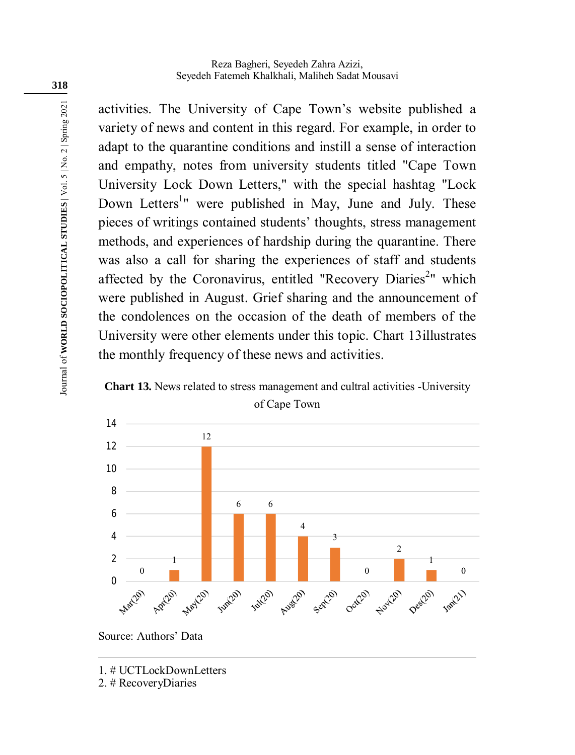activities. The University of Cape Town's website published a variety of news and content in this regard. For example, in order to adapt to the quarantine conditions and instill a sense of interaction and empathy, notes from university students titled "Cape Town University Lock Down Letters," with the special hashtag "Lock Down Letters<sup>1</sup>" were published in May, June and July. These pieces of writings contained students' thoughts, stress management methods, and experiences of hardship during the quarantine. There was also a call for sharing the experiences of staff and students affected by the Coronavirus, entitled "Recovery Diaries<sup>2</sup>" which were published in August. Grief sharing and the announcement of the condolences on the occasion of the death of members of the University were other elements under this topic. Chart 13illustrates the monthly frequency of these news and activities.





Source: Authors' Data

2. # RecoveryDiaries

<u>.</u>

<sup>1. #</sup> UCTLockDownLetters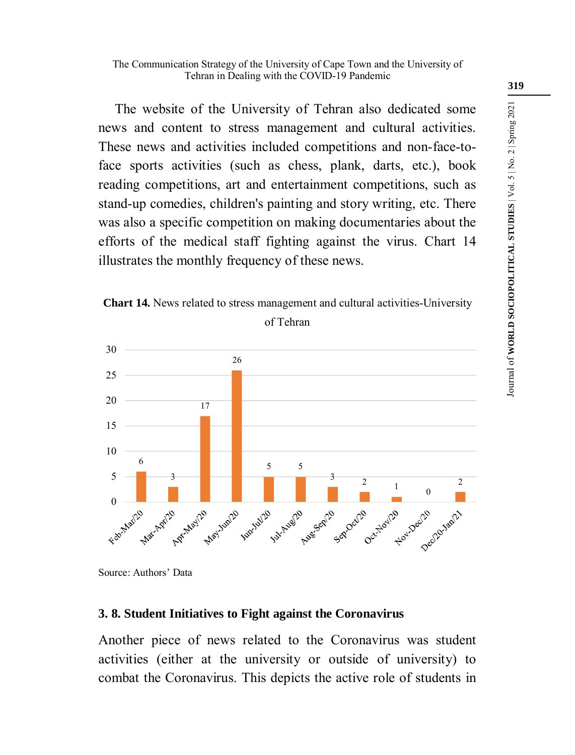The website of the University of Tehran also dedicated some news and content to stress management and cultural activities. These news and activities included competitions and non-face-toface sports activities (such as chess, plank, darts, etc.), book reading competitions, art and entertainment competitions, such as stand-up comedies, children's painting and story writing, etc. There was also a specific competition on making documentaries about the efforts of the medical staff fighting against the virus. Chart 14 illustrates the monthly frequency of these news.





Source: Authors' Data

### **3. 8. Student Initiatives to Fight against the Coronavirus**

Another piece of news related to the Coronavirus was student activities (either at the university or outside of university) to combat the Coronavirus. This depicts the active role of students in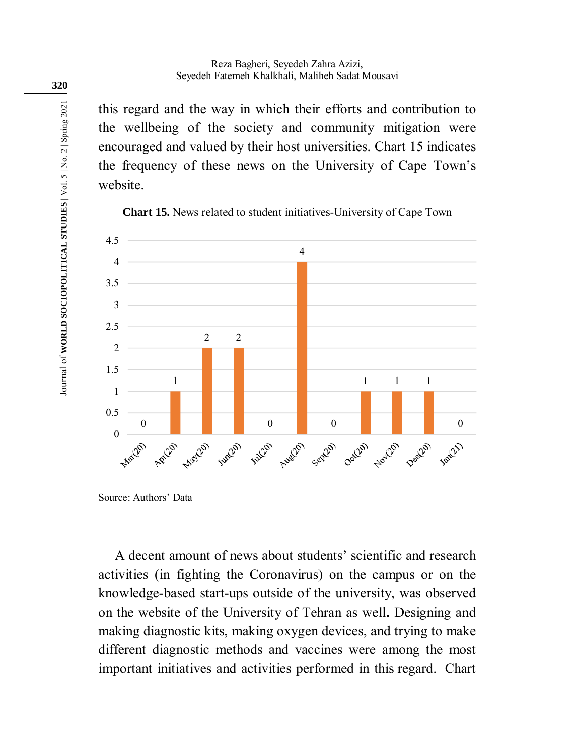this regard and the way in which their efforts and contribution to the wellbeing of the society and community mitigation were encouraged and valued by their host universities. Chart 15 indicates the frequency of these news on the University of Cape Town's website.



**Chart 15.** News related to student initiatives-University of Cape Town

A decent amount of news about students' scientific and research activities (in fighting the Coronavirus) on the campus or on the knowledge-based start-ups outside of the university, was observed on the website of the University of Tehran as well**.** Designing and making diagnostic kits, making oxygen devices, and trying to make different diagnostic methods and vaccines were among the most important initiatives and activities performed in this regard. Chart

Source: Authors' Data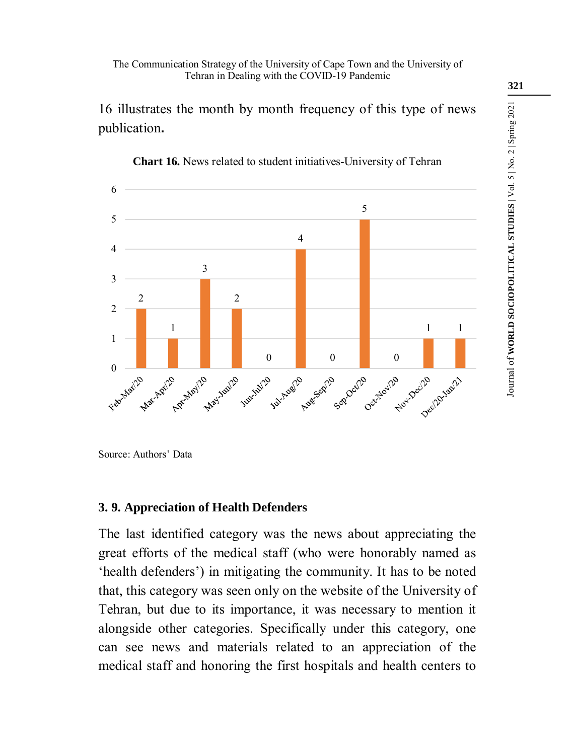The Communication Strategy of the University of Cape Town and the University of Tehran in Dealing with the COVID-19 Pandemic

16 illustrates the month by month frequency of this type of news publication**.**



**Chart 16.** News related to student initiatives-University of Tehran

Source: Authors' Data

### **3. 9. Appreciation of Health Defenders**

The last identified category was the news about appreciating the great efforts of the medical staff (who were honorably named as 'health defenders') in mitigating the community. It has to be noted that, this category was seen only on the website of the University of Tehran, but due to its importance, it was necessary to mention it alongside other categories. Specifically under this category, one can see news and materials related to an appreciation of the medical staff and honoring the first hospitals and health centers to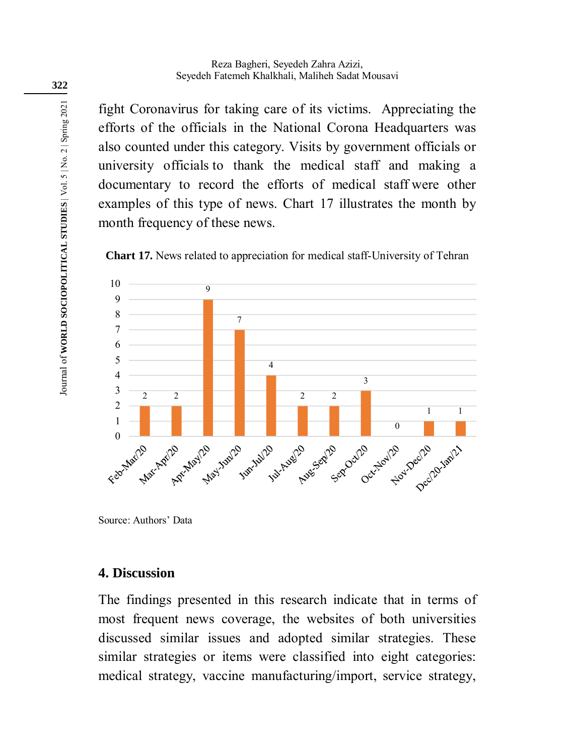fight Coronavirus for taking care of its victims. Appreciating the efforts of the officials in the National Corona Headquarters was also counted under this category. Visits by government officials or university officials to thank the medical staff and making a documentary to record the efforts of medical staff were other examples of this type of news. Chart 17 illustrates the month by month frequency of these news.



**Chart 17.** News related to appreciation for medical staff-University of Tehran

Source: Authors' Data

## **4. Discussion**

The findings presented in this research indicate that in terms of most frequent news coverage, the websites of both universities discussed similar issues and adopted similar strategies. These similar strategies or items were classified into eight categories: medical strategy, vaccine manufacturing/import, service strategy,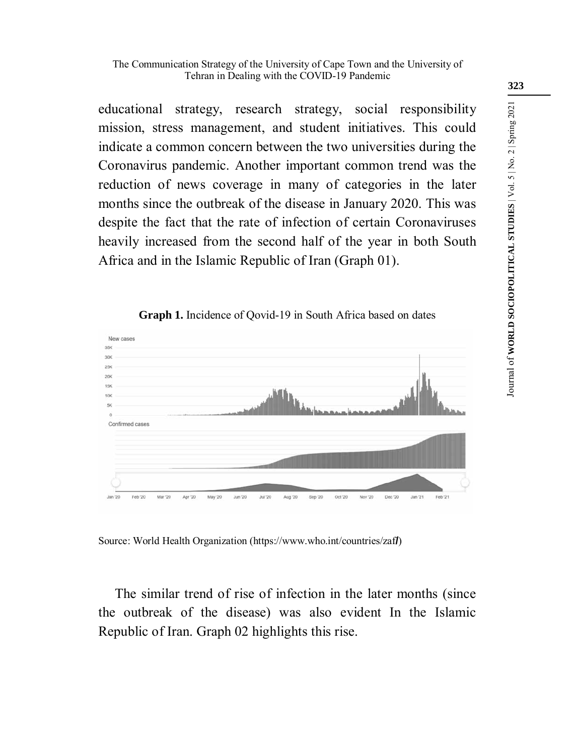educational strategy, research strategy, social responsibility mission, stress management, and student initiatives. This could indicate a common concern between the two universities during the Coronavirus pandemic. Another important common trend was the reduction of news coverage in many of categories in the later months since the outbreak of the disease in January 2020. This was despite the fact that the rate of infection of certain Coronaviruses heavily increased from the second half of the year in both South Africa and in the Islamic Republic of Iran (Graph 01).



**Graph 1.** Incidence of Qovid-19 in South Africa based on dates

Source: World Health Organization (https://www.who.int/countries/zaf**/**)

The similar trend of rise of infection in the later months (since the outbreak of the disease) was also evident In the Islamic Republic of Iran. Graph 02 highlights this rise.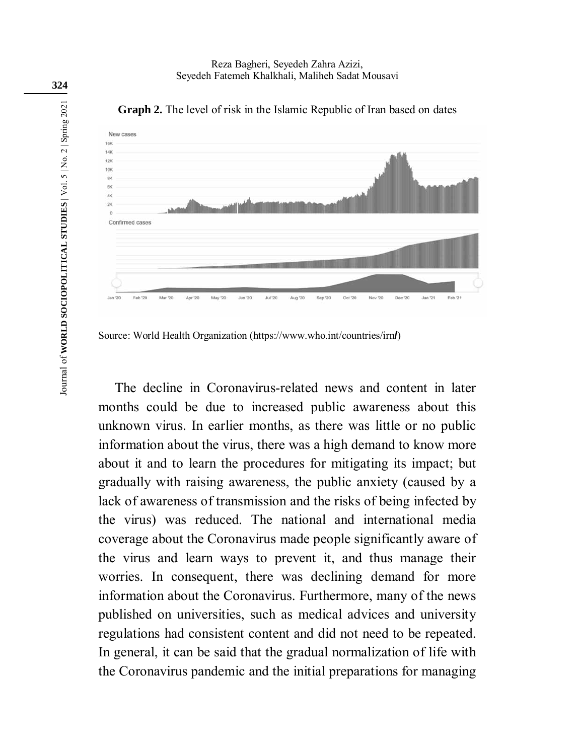

**Graph 2.** The level of risk in the Islamic Republic of Iran based on dates

Source: World Health Organization (https://www.who.int/countries/irn**/**)

The decline in Coronavirus-related news and content in later months could be due to increased public awareness about this unknown virus. In earlier months, as there was little or no public information about the virus, there was a high demand to know more about it and to learn the procedures for mitigating its impact; but gradually with raising awareness, the public anxiety (caused by a lack of awareness of transmission and the risks of being infected by the virus) was reduced. The national and international media coverage about the Coronavirus made people significantly aware of the virus and learn ways to prevent it, and thus manage their worries. In consequent, there was declining demand for more information about the Coronavirus. Furthermore, many of the news published on universities, such as medical advices and university regulations had consistent content and did not need to be repeated. In general, it can be said that the gradual normalization of life with the Coronavirus pandemic and the initial preparations for managing

**324**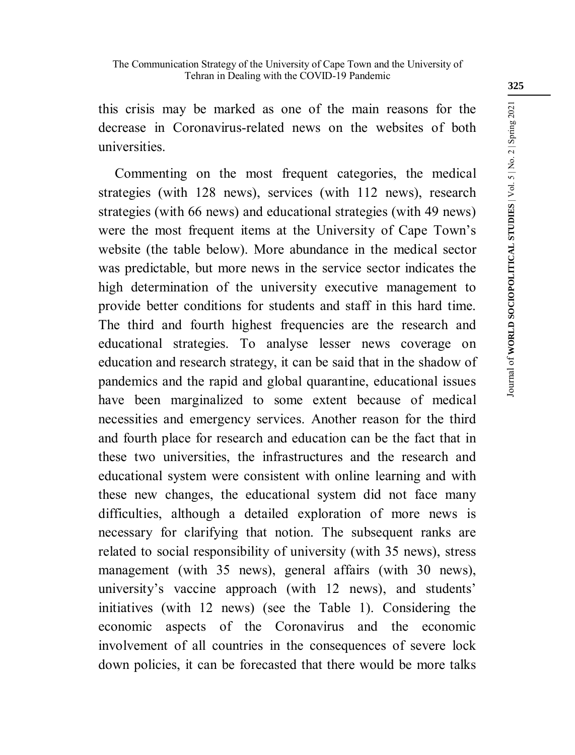this crisis may be marked as one of the main reasons for the decrease in Coronavirus-related news on the websites of both universities.

Commenting on the most frequent categories, the medical strategies (with 128 news), services (with 112 news), research strategies (with 66 news) and educational strategies (with 49 news) were the most frequent items at the University of Cape Town's website (the table below). More abundance in the medical sector was predictable, but more news in the service sector indicates the high determination of the university executive management to provide better conditions for students and staff in this hard time. The third and fourth highest frequencies are the research and educational strategies. To analyse lesser news coverage on education and research strategy, it can be said that in the shadow of pandemics and the rapid and global quarantine, educational issues have been marginalized to some extent because of medical necessities and emergency services. Another reason for the third and fourth place for research and education can be the fact that in these two universities, the infrastructures and the research and educational system were consistent with online learning and with these new changes, the educational system did not face many difficulties, although a detailed exploration of more news is necessary for clarifying that notion. The subsequent ranks are related to social responsibility of university (with 35 news), stress management (with 35 news), general affairs (with 30 news), university's vaccine approach (with 12 news), and students' initiatives (with 12 news) (see the Table 1). Considering the economic aspects of the Coronavirus and the economic involvement of all countries in the consequences of severe lock down policies, it can be forecasted that there would be more talks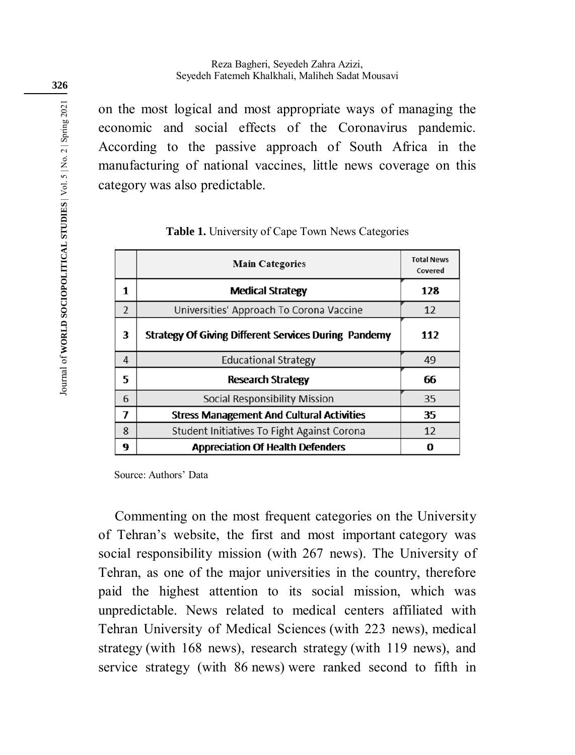on the most logical and most appropriate ways of managing the economic and social effects of the Coronavirus pandemic. According to the passive approach of South Africa in the manufacturing of national vaccines, little news coverage on this category was also predictable.

|                | <b>Main Categories</b>                               | <b>Total News</b><br>Covered |
|----------------|------------------------------------------------------|------------------------------|
| 1              | <b>Medical Strategy</b>                              | 128                          |
| $\overline{2}$ | Universities' Approach To Corona Vaccine             | 12                           |
| 3              | Strategy Of Giving Different Services During Pandemy | 112                          |
| 4              | <b>Educational Strategy</b>                          | 49                           |
| 5              | <b>Research Strategy</b>                             | 66                           |
| 6              | Social Responsibility Mission                        | 35                           |
| 7              | <b>Stress Management And Cultural Activities</b>     | 35                           |
| 8              | Student Initiatives To Fight Against Corona          | 12                           |
| 9              | <b>Appreciation Of Health Defenders</b>              | 0                            |

#### **Table 1.** University of Cape Town News Categories

Source: Authors' Data

Commenting on the most frequent categories on the University of Tehran's website, the first and most important category was social responsibility mission (with 267 news). The University of Tehran, as one of the major universities in the country, therefore paid the highest attention to its social mission, which was unpredictable. News related to medical centers affiliated with Tehran University of Medical Sciences (with 223 news), medical strategy (with 168 news), research strategy (with 119 news), and service strategy (with 86 news) were ranked second to fifth in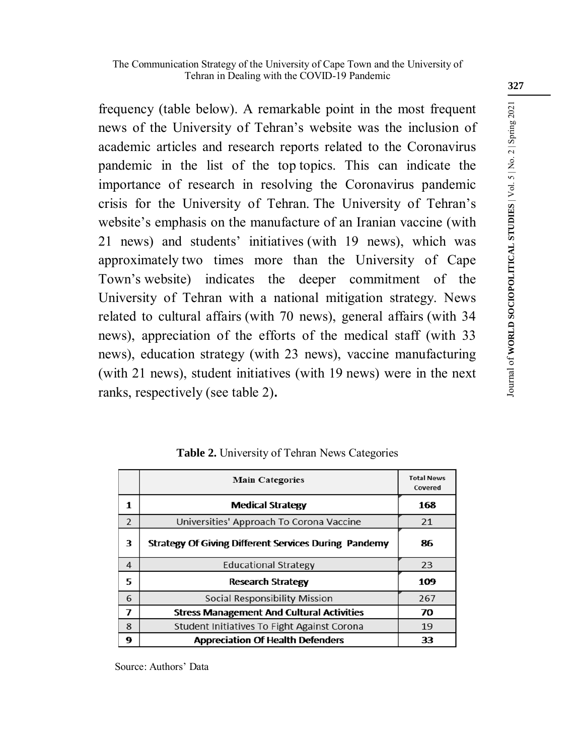#### The Communication Strategy of the University of Cape Town and the University of Tehran in Dealing with the COVID-19 Pandemic

frequency (table below). A remarkable point in the most frequent news of the University of Tehran's website was the inclusion of academic articles and research reports related to the Coronavirus pandemic in the list of the top topics. This can indicate the importance of research in resolving the Coronavirus pandemic crisis for the University of Tehran. The University of Tehran's website's emphasis on the manufacture of an Iranian vaccine (with 21 news) and students' initiatives (with 19 news), which was approximately two times more than the University of Cape Town's website) indicates the deeper commitment of the University of Tehran with a national mitigation strategy. News related to cultural affairs (with 70 news), general affairs (with 34 news), appreciation of the efforts of the medical staff (with 33 news), education strategy (with 23 news), vaccine manufacturing (with 21 news), student initiatives (with 19 news) were in the next ranks, respectively (see table 2)**.**

|                | <b>Main Categories</b>                               | <b>Total News</b><br>Covered |
|----------------|------------------------------------------------------|------------------------------|
| 1              | <b>Medical Strategy</b>                              | 168                          |
| $\overline{2}$ | Universities' Approach To Corona Vaccine             | 21                           |
| 3              | Strategy Of Giving Different Services During Pandemy | 86                           |
| 4              | <b>Educational Strategy</b>                          | 23                           |
| 5              | Research Strategy                                    | 109                          |
| 6              | Social Responsibility Mission                        | 267                          |
| 7              | <b>Stress Management And Cultural Activities</b>     | 70                           |
| 8              | Student Initiatives To Fight Against Corona          | 19                           |
| 9              | <b>Appreciation Of Health Defenders</b>              | 33                           |

**Table 2.** University of Tehran News Categories

Source: Authors' Data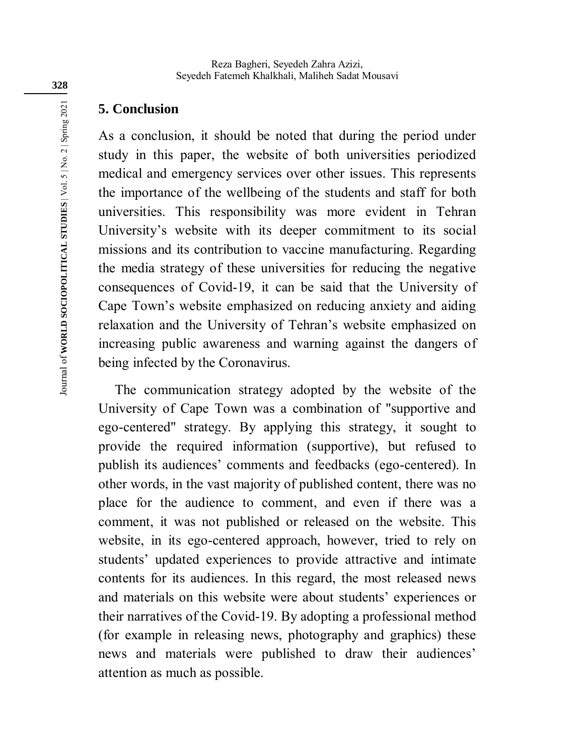## **5. Conclusion**

As a conclusion, it should be noted that during the period under study in this paper, the website of both universities periodized medical and emergency services over other issues. This represents the importance of the wellbeing of the students and staff for both universities. This responsibility was more evident in Tehran University's website with its deeper commitment to its social missions and its contribution to vaccine manufacturing. Regarding the media strategy of these universities for reducing the negative consequences of Covid-19, it can be said that the University of Cape Town's website emphasized on reducing anxiety and aiding relaxation and the University of Tehran's website emphasized on increasing public awareness and warning against the dangers of being infected by the Coronavirus.

The communication strategy adopted by the website of the University of Cape Town was a combination of "supportive and ego-centered" strategy. By applying this strategy, it sought to provide the required information (supportive), but refused to publish its audiences' comments and feedbacks (ego-centered). In other words, in the vast majority of published content, there was no place for the audience to comment, and even if there was a comment, it was not published or released on the website. This website, in its ego-centered approach, however, tried to rely on students' updated experiences to provide attractive and intimate contents for its audiences. In this regard, the most released news and materials on this website were about students' experiences or their narratives of the Covid-19. By adopting a professional method (for example in releasing news, photography and graphics) these news and materials were published to draw their audiences' attention as much as possible.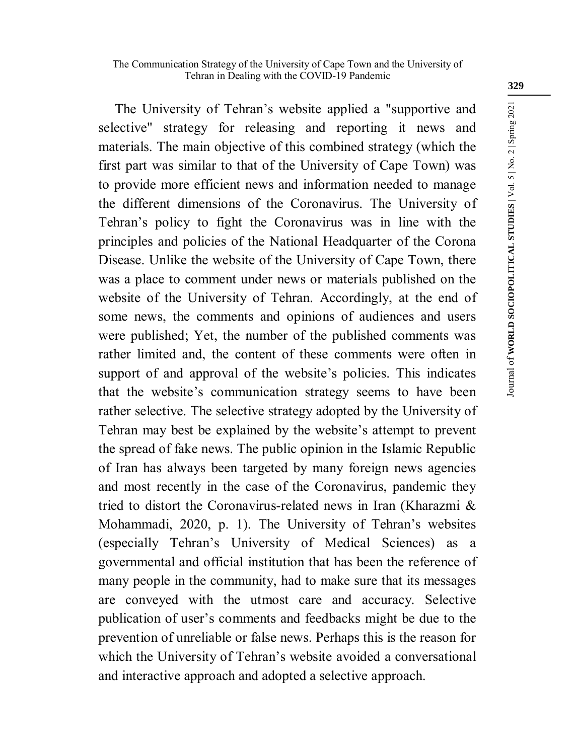The University of Tehran's website applied a "supportive and selective" strategy for releasing and reporting it news and materials. The main objective of this combined strategy (which the first part was similar to that of the University of Cape Town) was to provide more efficient news and information needed to manage the different dimensions of the Coronavirus. The University of Tehran's policy to fight the Coronavirus was in line with the principles and policies of the National Headquarter of the Corona Disease. Unlike the website of the University of Cape Town, there was a place to comment under news or materials published on the website of the University of Tehran. Accordingly, at the end of some news, the comments and opinions of audiences and users were published; Yet, the number of the published comments was rather limited and, the content of these comments were often in support of and approval of the website's policies. This indicates that the website's communication strategy seems to have been rather selective. The selective strategy adopted by the University of Tehran may best be explained by the website's attempt to prevent the spread of fake news. The public opinion in the Islamic Republic of Iran has always been targeted by many foreign news agencies and most recently in the case of the Coronavirus, pandemic they tried to distort the Coronavirus-related news in Iran (Kharazmi & Mohammadi, 2020, p. 1). The University of Tehran's websites (especially Tehran's University of Medical Sciences) as a governmental and official institution that has been the reference of many people in the community, had to make sure that its messages are conveyed with the utmost care and accuracy. Selective publication of user's comments and feedbacks might be due to the prevention of unreliable or false news. Perhaps this is the reason for which the University of Tehran's website avoided a conversational and interactive approach and adopted a selective approach.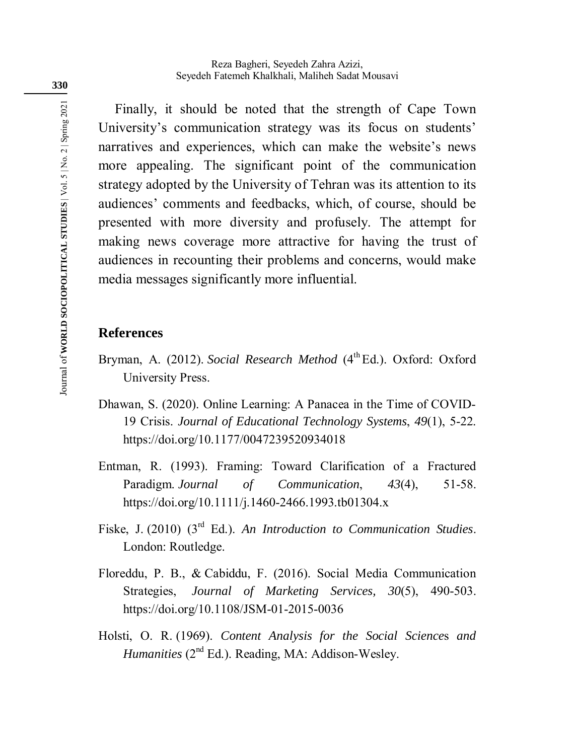Finally, it should be noted that the strength of Cape Town University's communication strategy was its focus on students' narratives and experiences, which can make the website's news more appealing. The significant point of the communication strategy adopted by the University of Tehran was its attention to its audiences' comments and feedbacks, which, of course, should be presented with more diversity and profusely. The attempt for making news coverage more attractive for having the trust of audiences in recounting their problems and concerns, would make media messages significantly more influential.

### **References**

- Bryman, A. (2012). *Social Research Method* (4<sup>th</sup> Ed.). Oxford: Oxford University Press.
- Dhawan, S. (2020). Online Learning: A Panacea in the Time of COVID-19 Crisis. *Journal of Educational Technology Systems*, *49*(1), 5-22. https://doi.org/10.1177/0047239520934018
- Entman, R. (1993). Framing: Toward Clarification of a Fractured Paradigm. *Journal of Communication*, *43*(4), 51-58. https://doi.org/10.1111/j.1460-2466.1993.tb01304.x
- Fiske, J. (2010) (3<sup>rd</sup> Ed.). *An Introduction to Communication Studies*. London: Routledge.
- Floreddu, P. B., & Cabiddu, F. (2016). Social Media Communication Strategies, *Journal of Marketing Services, 30*(5), 490-503. https://doi.org/10.1108/JSM-01-2015-0036
- Holsti, O. R. (1969). *Content Analysis for the Social Science*s *and Humanities* ( $2^{nd}$  Ed.). Reading, MA: Addison-Wesley.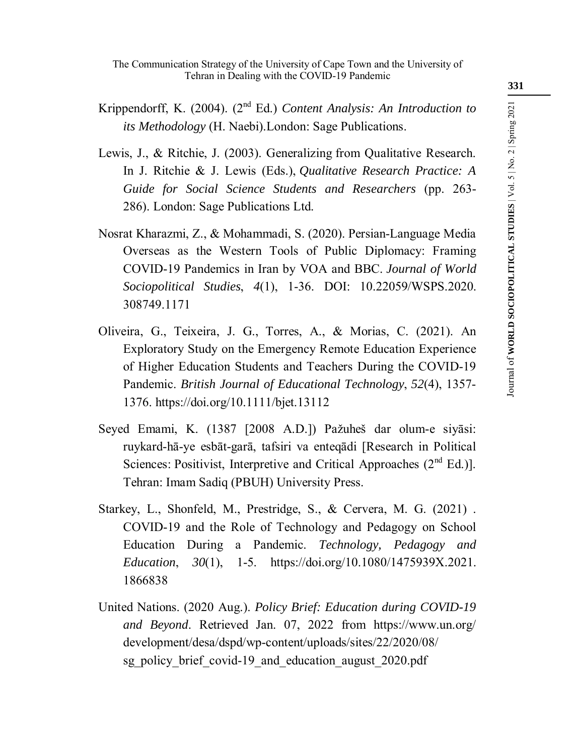The Communication Strategy of the University of Cape Town and the University of Tehran in Dealing with the COVID-19 Pandemic

- Krippendorff, K. (2004). (2nd Ed.) *Content Analysis: An Introduction to its Methodology* (H. Naebi).London: Sage Publications.
- Lewis, J., & Ritchie, J. (2003). Generalizing from Qualitative Research. In J. Ritchie & J. Lewis (Eds.), *Qualitative Research Practice: A Guide for Social Science Students and Researchers* (pp. 263- 286). London: Sage Publications Ltd.
- Nosrat Kharazmi, Z., & Mohammadi, S. (2020). Persian-Language Media Overseas as the Western Tools of Public Diplomacy: Framing COVID-19 Pandemics in Iran by VOA and BBC. *Journal of World Sociopolitical Studies*, *4*(1), 1-36. DOI: 10.22059/WSPS.2020. 308749.1171
- Oliveira, G., Teixeira, J. G., Torres, A., & Morias, C. (2021). An Exploratory Study on the Emergency Remote Education Experience of Higher Education Students and Teachers During the COVID-19 Pandemic. *British Journal of Educational Technology*, *52*(4), 1357- 1376. https://doi.org/10.1111/bjet.13112
- Seyed Emami, K. (1387 [2008 A.D.]) Pažuheš dar olum-e siyāsi: ruykard-hā-ye esbāt-garā, tafsiri va enteqādi [Research in Political Sciences: Positivist, Interpretive and Critical Approaches  $(2<sup>nd</sup> Ed.)]$ . Tehran: Imam Sadiq (PBUH) University Press .
- Starkey, L., Shonfeld, M., Prestridge, S., & Cervera, M. G. (2021) . COVID-19 and the Role of Technology and Pedagogy on School Education During a Pandemic. *Technology, Pedagogy and Education*, *30*(1), 1-5. https://doi.org/10.1080/1475939X.2021. 1866838
- United Nations. (2020 Aug.). *Policy Brief: Education during COVID-19 and Beyond*. Retrieved Jan. 07, 2022 from https://www.un.org/ development/desa/dspd/wp-content/uploads/sites/22/2020/08/ sg\_policy\_brief\_covid-19\_and\_education\_august\_2020.pdf